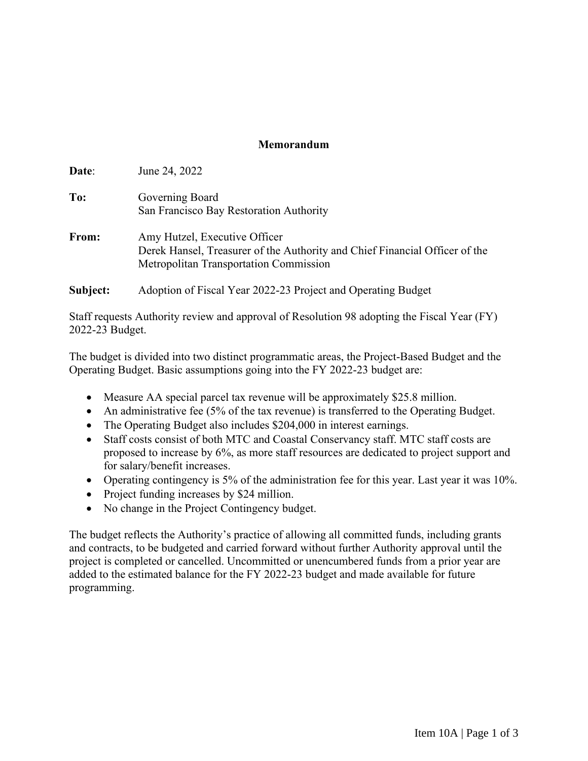## **Memorandum**

| Date:    | June 24, 2022                                                                                                                                          |
|----------|--------------------------------------------------------------------------------------------------------------------------------------------------------|
| To:      | Governing Board<br>San Francisco Bay Restoration Authority                                                                                             |
| From:    | Amy Hutzel, Executive Officer<br>Derek Hansel, Treasurer of the Authority and Chief Financial Officer of the<br>Metropolitan Transportation Commission |
| Subject: | Adoption of Fiscal Year 2022-23 Project and Operating Budget                                                                                           |

Staff requests Authority review and approval of Resolution 98 adopting the Fiscal Year (FY) 2022-23 Budget.

The budget is divided into two distinct programmatic areas, the Project-Based Budget and the Operating Budget. Basic assumptions going into the FY 2022-23 budget are:

- Measure AA special parcel tax revenue will be approximately \$25.8 million.
- An administrative fee (5% of the tax revenue) is transferred to the Operating Budget.
- The Operating Budget also includes \$204,000 in interest earnings.
- Staff costs consist of both MTC and Coastal Conservancy staff. MTC staff costs are proposed to increase by 6%, as more staff resources are dedicated to project support and for salary/benefit increases.
- Operating contingency is 5% of the administration fee for this year. Last year it was 10%.
- Project funding increases by \$24 million.
- No change in the Project Contingency budget.

The budget reflects the Authority's practice of allowing all committed funds, including grants and contracts, to be budgeted and carried forward without further Authority approval until the project is completed or cancelled. Uncommitted or unencumbered funds from a prior year are added to the estimated balance for the FY 2022-23 budget and made available for future programming.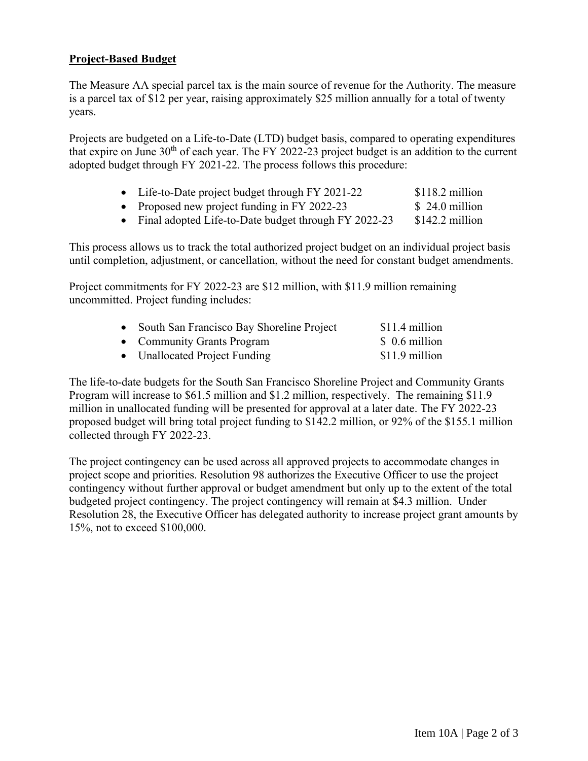## **Project-Based Budget**

The Measure AA special parcel tax is the main source of revenue for the Authority. The measure is a parcel tax of \$12 per year, raising approximately \$25 million annually for a total of twenty years.

Projects are budgeted on a Life-to-Date (LTD) budget basis, compared to operating expenditures that expire on June  $30<sup>th</sup>$  of each year. The FY 2022-23 project budget is an addition to the current adopted budget through FY 2021-22. The process follows this procedure:

| • Life-to-Date project budget through FY 2021-22       | $$118.2$ million |
|--------------------------------------------------------|------------------|
| • Proposed new project funding in FY 2022-23           | $$24.0$ million  |
| • Final adopted Life-to-Date budget through FY 2022-23 | $$142.2$ million |

This process allows us to track the total authorized project budget on an individual project basis until completion, adjustment, or cancellation, without the need for constant budget amendments.

Project commitments for FY 2022-23 are \$12 million, with \$11.9 million remaining uncommitted. Project funding includes:

| • South San Francisco Bay Shoreline Project | $$11.4$ million |
|---------------------------------------------|-----------------|
| • Community Grants Program                  | $$0.6$ million  |
| • Unallocated Project Funding               | $$11.9$ million |

The life-to-date budgets for the South San Francisco Shoreline Project and Community Grants Program will increase to \$61.5 million and \$1.2 million, respectively. The remaining \$11.9 million in unallocated funding will be presented for approval at a later date. The FY 2022-23 proposed budget will bring total project funding to \$142.2 million, or 92% of the \$155.1 million collected through FY 2022-23.

The project contingency can be used across all approved projects to accommodate changes in project scope and priorities. Resolution 98 authorizes the Executive Officer to use the project contingency without further approval or budget amendment but only up to the extent of the total budgeted project contingency. The project contingency will remain at \$4.3 million. Under Resolution 28, the Executive Officer has delegated authority to increase project grant amounts by 15%, not to exceed \$100,000.